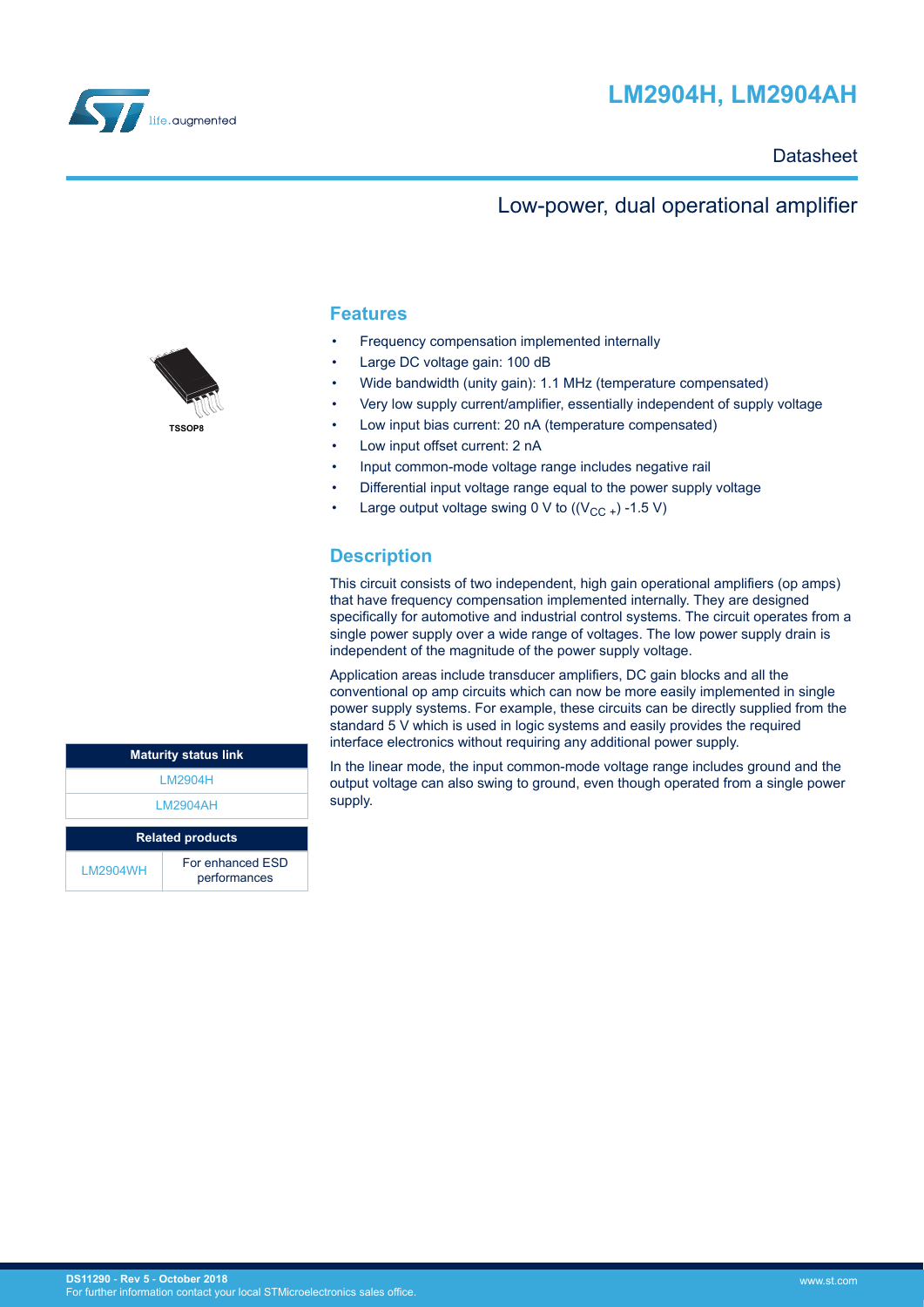



#### **Datasheet**

### Low-power, dual operational amplifier

#### **Features**

- Frequency compensation implemented internally
- Large DC voltage gain: 100 dB
- Wide bandwidth (unity gain): 1.1 MHz (temperature compensated)
- Very low supply current/amplifier, essentially independent of supply voltage
- Low input bias current: 20 nA (temperature compensated)
- Low input offset current: 2 nA
- Input common-mode voltage range includes negative rail
- Differential input voltage range equal to the power supply voltage
- Large output voltage swing 0 V to  $((V_{CC} +) -1.5 V)$

#### **Description**

This circuit consists of two independent, high gain operational amplifiers (op amps) that have frequency compensation implemented internally. They are designed specifically for automotive and industrial control systems. The circuit operates from a single power supply over a wide range of voltages. The low power supply drain is independent of the magnitude of the power supply voltage.

Application areas include transducer amplifiers, DC gain blocks and all the conventional op amp circuits which can now be more easily implemented in single power supply systems. For example, these circuits can be directly supplied from the standard 5 V which is used in logic systems and easily provides the required interface electronics without requiring any additional power supply.

In the linear mode, the input common-mode voltage range includes ground and the output voltage can also swing to ground, even though operated from a single power supply.

| <b>Maturity status link</b> |  |  |
|-----------------------------|--|--|
|                             |  |  |
|                             |  |  |
|                             |  |  |
|                             |  |  |
|                             |  |  |
|                             |  |  |
|                             |  |  |
|                             |  |  |
|                             |  |  |

**TSSOP8**

|           | IM2904H                          |
|-----------|----------------------------------|
|           | IM2904AH                         |
|           | <b>Related products</b>          |
| I M2904WH | For enhanced FSD<br>performances |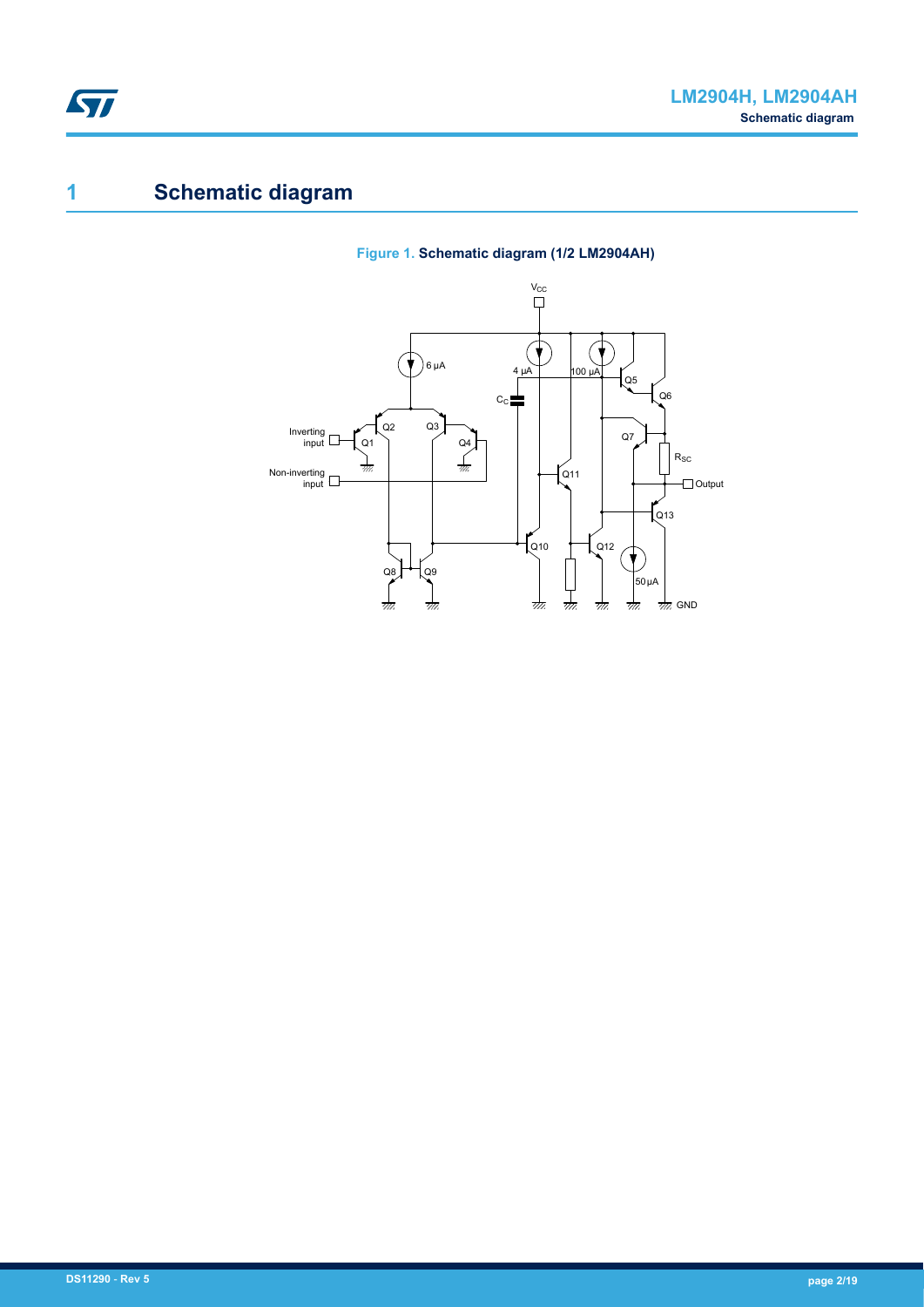<span id="page-1-0"></span>

# **1 Schematic diagram**

### **Figure 1. Schematic diagram (1/2 LM2904AH)**

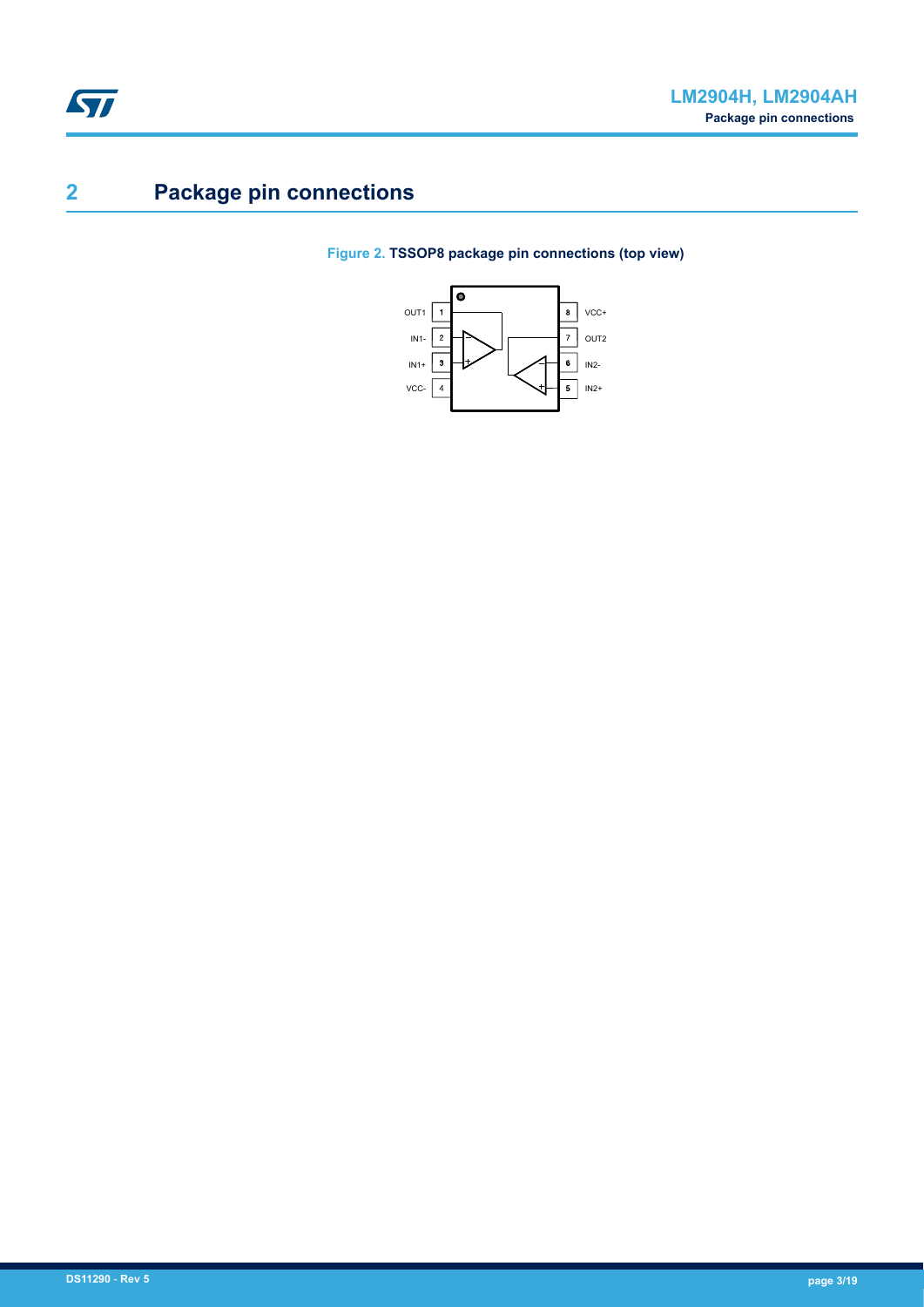# <span id="page-2-0"></span>**2 Package pin connections**

### **Figure 2. TSSOP8 package pin connections (top view)**

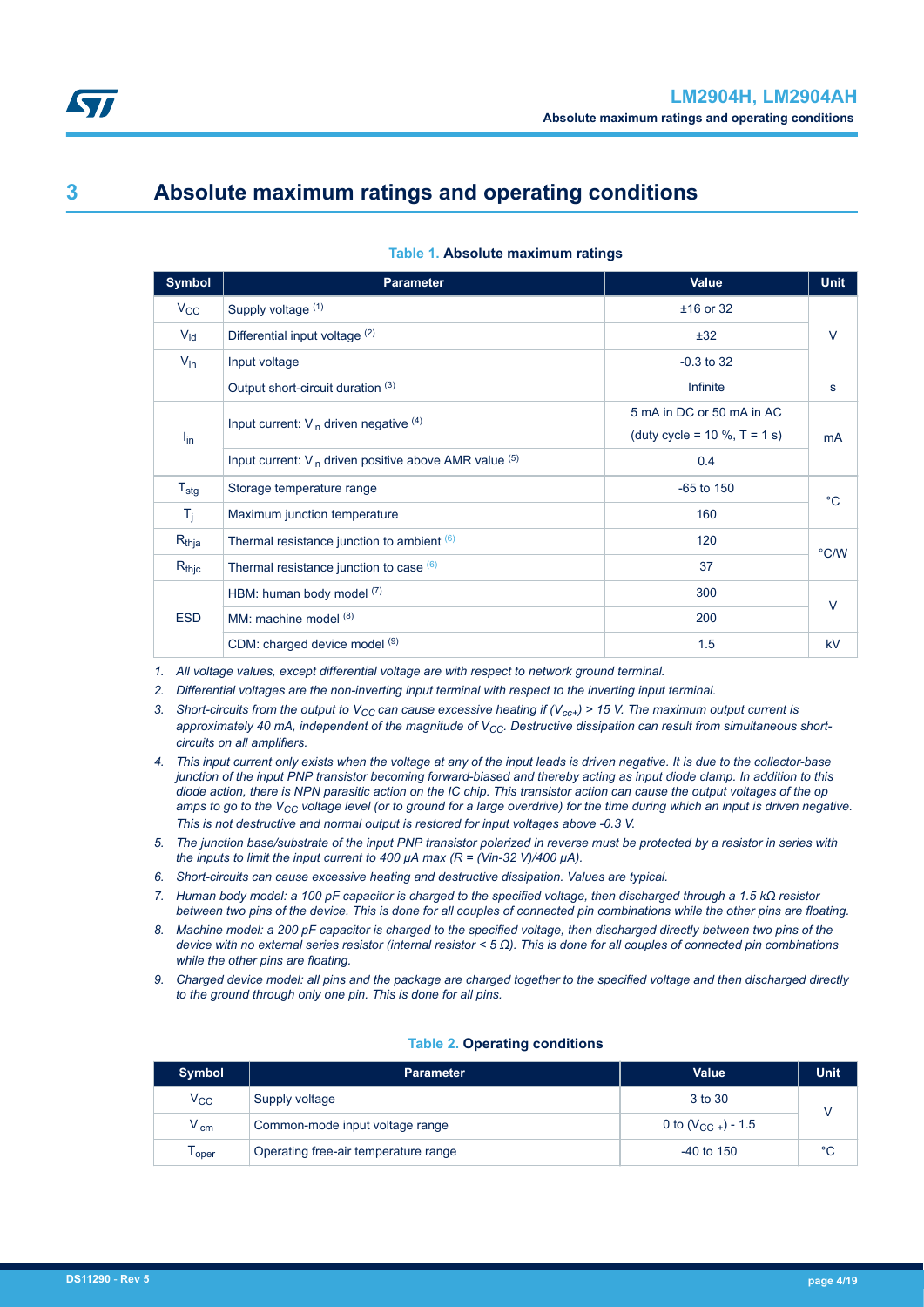<span id="page-3-0"></span>

### **3 Absolute maximum ratings and operating conditions**

| <b>Symbol</b>    | <b>Parameter</b>                                              | <b>Value</b>                        | <b>Unit</b> |  |
|------------------|---------------------------------------------------------------|-------------------------------------|-------------|--|
| $V_{CC}$         | Supply voltage (1)                                            | $±16$ or 32                         |             |  |
| $V_{\text{id}}$  | Differential input voltage (2)                                | ±32                                 | V           |  |
| $V_{\text{in}}$  | Input voltage                                                 | $-0.3$ to 32                        |             |  |
|                  | Output short-circuit duration (3)                             | Infinite                            | s           |  |
|                  | Input current: $V_{in}$ driven negative $(4)$                 | 5 mA in DC or 50 mA in AC           | <b>mA</b>   |  |
| $I_{\text{in}}$  |                                                               | (duty cycle = $10 \%$ , T = $1 s$ ) |             |  |
|                  | Input current: $V_{in}$ driven positive above AMR value $(5)$ | 0.4                                 |             |  |
| $T_{\text{stg}}$ | Storage temperature range                                     | $-65$ to $150$                      | $^{\circ}C$ |  |
| $T_{j}$          | Maximum junction temperature                                  | 160                                 |             |  |
| $R_{thja}$       | Thermal resistance junction to ambient (6)                    | 120                                 | °C/W        |  |
| $R_{thjc}$       | Thermal resistance junction to case $(6)$                     | 37                                  |             |  |
|                  | HBM: human body model (7)                                     | 300                                 | $\vee$      |  |
| <b>ESD</b>       | MM: machine model $(8)$                                       | 200                                 |             |  |
|                  | CDM: charged device model (9)                                 | 1.5                                 | kV          |  |

#### **Table 1. Absolute maximum ratings**

*1. All voltage values, except differential voltage are with respect to network ground terminal.*

*2. Differential voltages are the non-inverting input terminal with respect to the inverting input terminal.*

- 3. Short-circuits from the output to  $V_{CC}$  can cause excessive heating if  $(V_{CCT})$  > 15 V. The maximum output current is approximately 40 mA, independent of the magnitude of V<sub>CC</sub>. Destructive dissipation can result from simultaneous short*circuits on all amplifiers.*
- *4. This input current only exists when the voltage at any of the input leads is driven negative. It is due to the collector-base junction of the input PNP transistor becoming forward-biased and thereby acting as input diode clamp. In addition to this diode action, there is NPN parasitic action on the IC chip. This transistor action can cause the output voltages of the op amps to go to the VCC voltage level (or to ground for a large overdrive) for the time during which an input is driven negative. This is not destructive and normal output is restored for input voltages above -0.3 V.*
- *5. The junction base/substrate of the input PNP transistor polarized in reverse must be protected by a resistor in series with the inputs to limit the input current to 400*  $\mu$ *A max (R = (Vin-32 V)/400*  $\mu$ *A).*
- *6. Short-circuits can cause excessive heating and destructive dissipation. Values are typical.*
- *7. Human body model: a 100 pF capacitor is charged to the specified voltage, then discharged through a 1.5 kΩ resistor between two pins of the device. This is done for all couples of connected pin combinations while the other pins are floating.*
- *8. Machine model: a 200 pF capacitor is charged to the specified voltage, then discharged directly between two pins of the device with no external series resistor (internal resistor < 5 Ω). This is done for all couples of connected pin combinations while the other pins are floating.*
- *9. Charged device model: all pins and the package are charged together to the specified voltage and then discharged directly to the ground through only one pin. This is done for all pins.*

#### **Table 2. Operating conditions**

| Symbol       | <b>Parameter</b>                     | <b>Value</b>           | <b>Unit</b> |  |
|--------------|--------------------------------------|------------------------|-------------|--|
| $V_{\rm CC}$ | Supply voltage                       | 3 to 30                |             |  |
| $V_{icm}$    | Common-mode input voltage range      | 0 to $(V_{CC+})$ - 1.5 |             |  |
| oper         | Operating free-air temperature range | $-40$ to 150           | $^{\circ}C$ |  |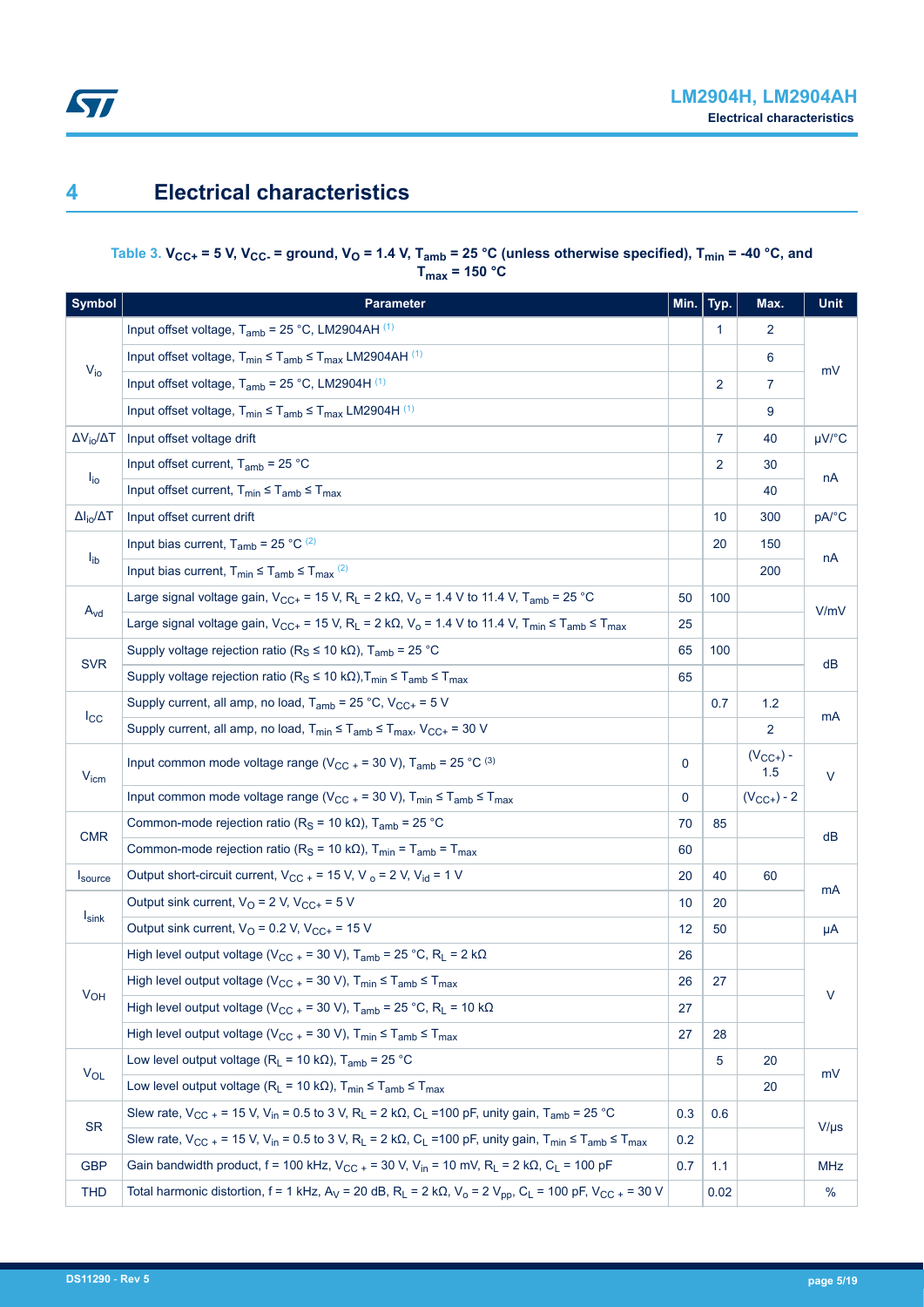### <span id="page-4-0"></span>**4 Electrical characteristics**

#### Table 3.  $V_{CC+}$  = 5 V,  $V_{CC-}$  = ground,  $V_{O}$  = 1.4 V,  $T_{amb}$  = 25 °C (unless otherwise specified),  $T_{min}$  = -40 °C, and  $T_{\text{max}}$  = 150 °C

| <b>Symbol</b>            | <b>Parameter</b>                                                                                                                                                                     | Min. | Typ.           | Max.                 | <b>Unit</b> |  |  |
|--------------------------|--------------------------------------------------------------------------------------------------------------------------------------------------------------------------------------|------|----------------|----------------------|-------------|--|--|
|                          | Input offset voltage, $T_{amb}$ = 25 °C, LM2904AH $(1)$                                                                                                                              |      | 1              | $\overline{2}$       |             |  |  |
|                          | Input offset voltage, $T_{min} \leq T_{amb} \leq T_{max}$ LM2904AH (1)                                                                                                               |      |                | 6                    |             |  |  |
| $V_{io}$                 | Input offset voltage, $T_{amb}$ = 25 °C, LM2904H $(1)$                                                                                                                               |      | $\overline{2}$ | $\mathbf{7}$         | mV          |  |  |
|                          | Input offset voltage, $T_{min} \leq T_{amb} \leq T_{max}$ LM2904H <sup>(1)</sup>                                                                                                     |      |                | 9                    |             |  |  |
| $\Delta V_{io}/\Delta T$ | Input offset voltage drift                                                                                                                                                           |      | $\mathbf{7}$   | 40                   | $\mu$ V/°C  |  |  |
|                          | Input offset current, $T_{amb}$ = 25 °C                                                                                                                                              |      | $\overline{2}$ | 30                   |             |  |  |
| $I_{\text{io}}$          | Input offset current, $T_{min} \leq T_{amb} \leq T_{max}$                                                                                                                            |      |                | 40                   | nA          |  |  |
| $\Delta I_{io}/\Delta T$ | Input offset current drift                                                                                                                                                           |      | 10             | 300                  | pA/°C       |  |  |
|                          | Input bias current, $T_{amb}$ = 25 °C $(2)$                                                                                                                                          |      | 20             | 150                  |             |  |  |
| $I_{ib}$                 | Input bias current, $T_{min} \leq T_{amb} \leq T_{max}$ <sup>(2)</sup>                                                                                                               |      |                | 200                  | nA          |  |  |
|                          | Large signal voltage gain, $V_{CC+}$ = 15 V, R <sub>L</sub> = 2 k $\Omega$ , V <sub>o</sub> = 1.4 V to 11.4 V, T <sub>amb</sub> = 25 °C                                              | 50   | 100            |                      | V/mV        |  |  |
| $A_{\text{vd}}$          | Large signal voltage gain, $V_{CC^+}$ = 15 V, R <sub>L</sub> = 2 k $\Omega$ , V <sub>o</sub> = 1.4 V to 11.4 V, T <sub>min</sub> $\leq$ T <sub>amb</sub> $\leq$ T <sub>max</sub>     | 25   |                |                      |             |  |  |
|                          | Supply voltage rejection ratio ( $R_S \le 10 \text{ k}\Omega$ ), T <sub>amb</sub> = 25 °C                                                                                            | 65   | 100            |                      | dB          |  |  |
| <b>SVR</b>               | Supply voltage rejection ratio ( $R_S \le 10 \text{ k}\Omega$ ), $T_{min} \le T_{amb} \le T_{max}$                                                                                   | 65   |                |                      |             |  |  |
|                          | Supply current, all amp, no load, $T_{amb}$ = 25 °C, $V_{CC+}$ = 5 V                                                                                                                 |      | 0.7            | 1.2                  | mA          |  |  |
| $_{\rm{lcc}}$            | Supply current, all amp, no load, $T_{min} \leq T_{amb} \leq T_{max}$ , $V_{CC+} = 30$ V                                                                                             |      |                | 2                    |             |  |  |
| $V_{icm}$                | Input common mode voltage range ( $V_{CC}$ + = 30 V), T <sub>amb</sub> = 25 °C <sup>(3)</sup>                                                                                        | 0    |                | $(V_{CC+}) -$<br>1.5 | $\vee$      |  |  |
|                          | Input common mode voltage range ( $V_{CC}$ = 30 V), $T_{min} \leq T_{amb} \leq T_{max}$                                                                                              | 0    |                | $(V_{CC+}) - 2$      |             |  |  |
| <b>CMR</b>               | Common-mode rejection ratio (R <sub>S</sub> = 10 k $\Omega$ ), T <sub>amb</sub> = 25 °C                                                                                              | 70   | 85             |                      | dB          |  |  |
|                          | Common-mode rejection ratio ( $R_S$ = 10 k $\Omega$ ), T <sub>min</sub> = T <sub>amb</sub> = T <sub>max</sub>                                                                        | 60   |                |                      |             |  |  |
| Isource                  | Output short-circuit current, $V_{CC}$ = 15 V, V $_o$ = 2 V, V <sub>id</sub> = 1 V                                                                                                   | 20   | 40             | 60                   | mA          |  |  |
| $I_{\text{sink}}$        | Output sink current, $V_Q = 2 V$ , $V_{CC+} = 5 V$                                                                                                                                   | 10   | 20             |                      |             |  |  |
|                          | Output sink current, $VO = 0.2 V$ , $VCC+ = 15 V$                                                                                                                                    | 12   | 50             |                      | μA          |  |  |
|                          | High level output voltage (V <sub>CC</sub> + = 30 V), T <sub>amb</sub> = 25 °C, R <sub>L</sub> = 2 k $\Omega$                                                                        | 26   |                |                      |             |  |  |
| V <sub>OH</sub>          | High level output voltage ( $V_{CC}$ + = 30 V), $T_{min} \le T_{amb} \le T_{max}$                                                                                                    | 26   | 27             |                      | V           |  |  |
|                          | High level output voltage ( $V_{CC}$ + = 30 V), T <sub>amb</sub> = 25 °C, R <sub>L</sub> = 10 k $\Omega$                                                                             | 27   |                |                      |             |  |  |
|                          | High level output voltage ( $V_{CC}$ + = 30 V), $T_{min} \le T_{amb} \le T_{max}$                                                                                                    | 27   | 28             |                      |             |  |  |
| $V_{OL}$                 | Low level output voltage ( $R_L$ = 10 k $\Omega$ ), T <sub>amb</sub> = 25 °C                                                                                                         |      | 5              | 20                   | mV          |  |  |
|                          | Low level output voltage ( $R_L$ = 10 k $\Omega$ ), $T_{min} \leq T_{amb} \leq T_{max}$                                                                                              |      |                | 20                   |             |  |  |
| <b>SR</b>                | Slew rate, $V_{CC}$ + = 15 V, V <sub>in</sub> = 0.5 to 3 V, R <sub>L</sub> = 2 kΩ, C <sub>L</sub> = 100 pF, unity gain, T <sub>amb</sub> = 25 °C                                     | 0.3  | 0.6            |                      | $V/\mu s$   |  |  |
|                          | Slew rate, $V_{CC}$ + = 15 V, V <sub>in</sub> = 0.5 to 3 V, R <sub>L</sub> = 2 k $\Omega$ , C <sub>L</sub> = 100 pF, unity gain, T <sub>min</sub> $\leq$ T <sub>mmax</sub>           | 0.2  |                |                      |             |  |  |
| <b>GBP</b>               | Gain bandwidth product, f = 100 kHz, V <sub>CC</sub> + = 30 V, V <sub>in</sub> = 10 mV, R <sub>L</sub> = 2 kΩ, C <sub>L</sub> = 100 pF                                               | 0.7  | 1.1            |                      | <b>MHz</b>  |  |  |
| <b>THD</b>               | Total harmonic distortion, f = 1 kHz, A <sub>V</sub> = 20 dB, R <sub>L</sub> = 2 k $\Omega$ , V <sub>o</sub> = 2 V <sub>pp</sub> , C <sub>L</sub> = 100 pF, V <sub>CC</sub> + = 30 V |      | 0.02           |                      | %           |  |  |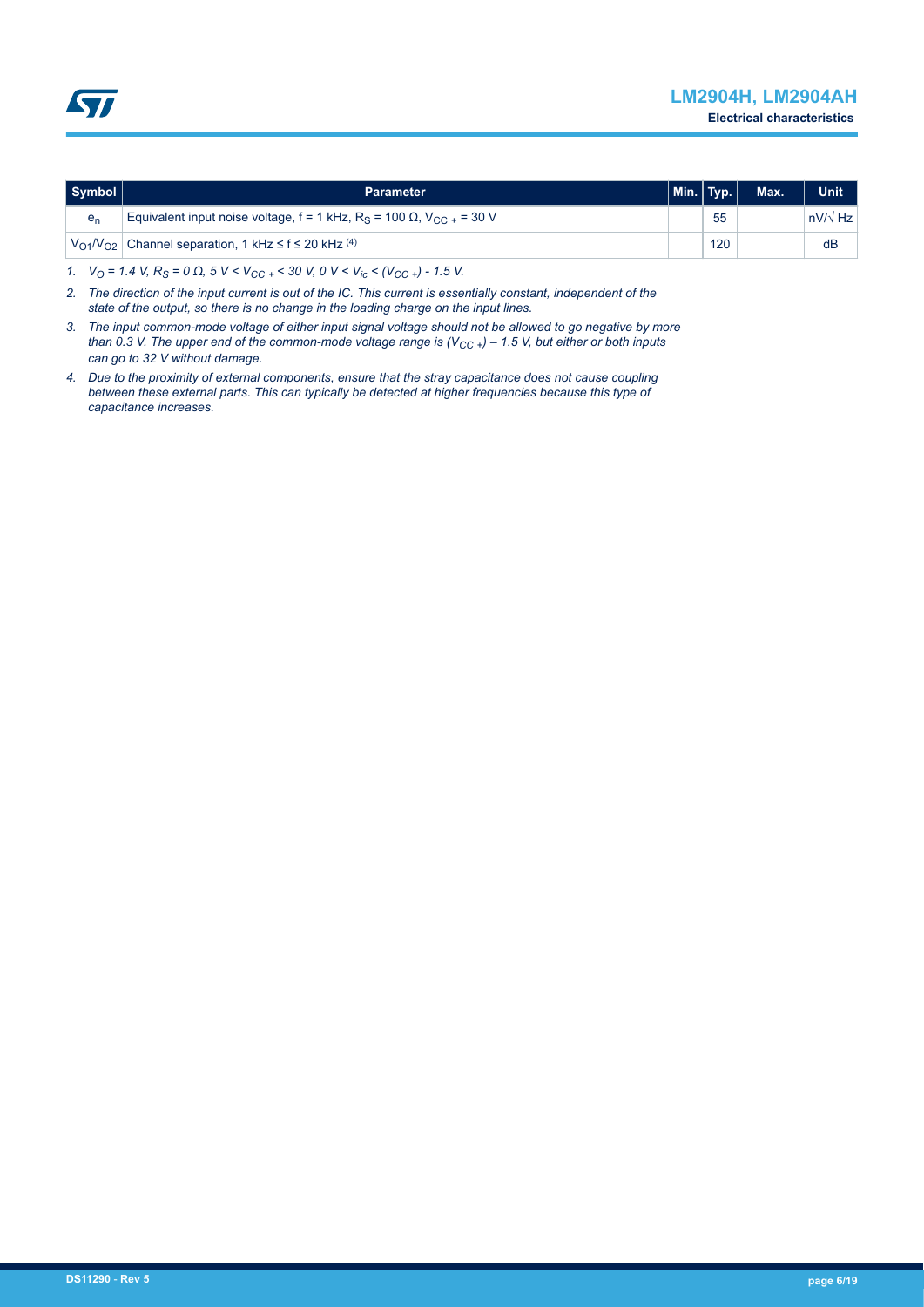<span id="page-5-0"></span>

| Symbol         | <b>Parameter</b>                                                                                      | $\mid$ Min. $\mid$ Typ. $\mid$ |     | Max. | <b>Unit</b>    |
|----------------|-------------------------------------------------------------------------------------------------------|--------------------------------|-----|------|----------------|
| e <sub>n</sub> | Equivalent input noise voltage, $f = 1$ kHz, R <sub>S</sub> = 100 $\Omega$ , V <sub>CC</sub> + = 30 V |                                | 55  |      | $nV/\sqrt{Hz}$ |
|                | $V_{O1}/V_{O2}$ Channel separation, 1 kHz $\leq$ f $\leq$ 20 kHz <sup>(4)</sup>                       |                                | 120 |      | dB             |

*1. VO = 1.4 V, RS = 0 Ω, 5 V < VCC <sup>+</sup>< 30 V, 0 V < Vic < (VCC <sup>+</sup>) - 1.5 V.*

- *2. The direction of the input current is out of the IC. This current is essentially constant, independent of the state of the output, so there is no change in the loading charge on the input lines.*
- *3. The input common-mode voltage of either input signal voltage should not be allowed to go negative by more than 0.3 V. The upper end of the common-mode voltage range is (VCC <sup>+</sup>) – 1.5 V, but either or both inputs can go to 32 V without damage.*
- *4. Due to the proximity of external components, ensure that the stray capacitance does not cause coupling between these external parts. This can typically be detected at higher frequencies because this type of capacitance increases.*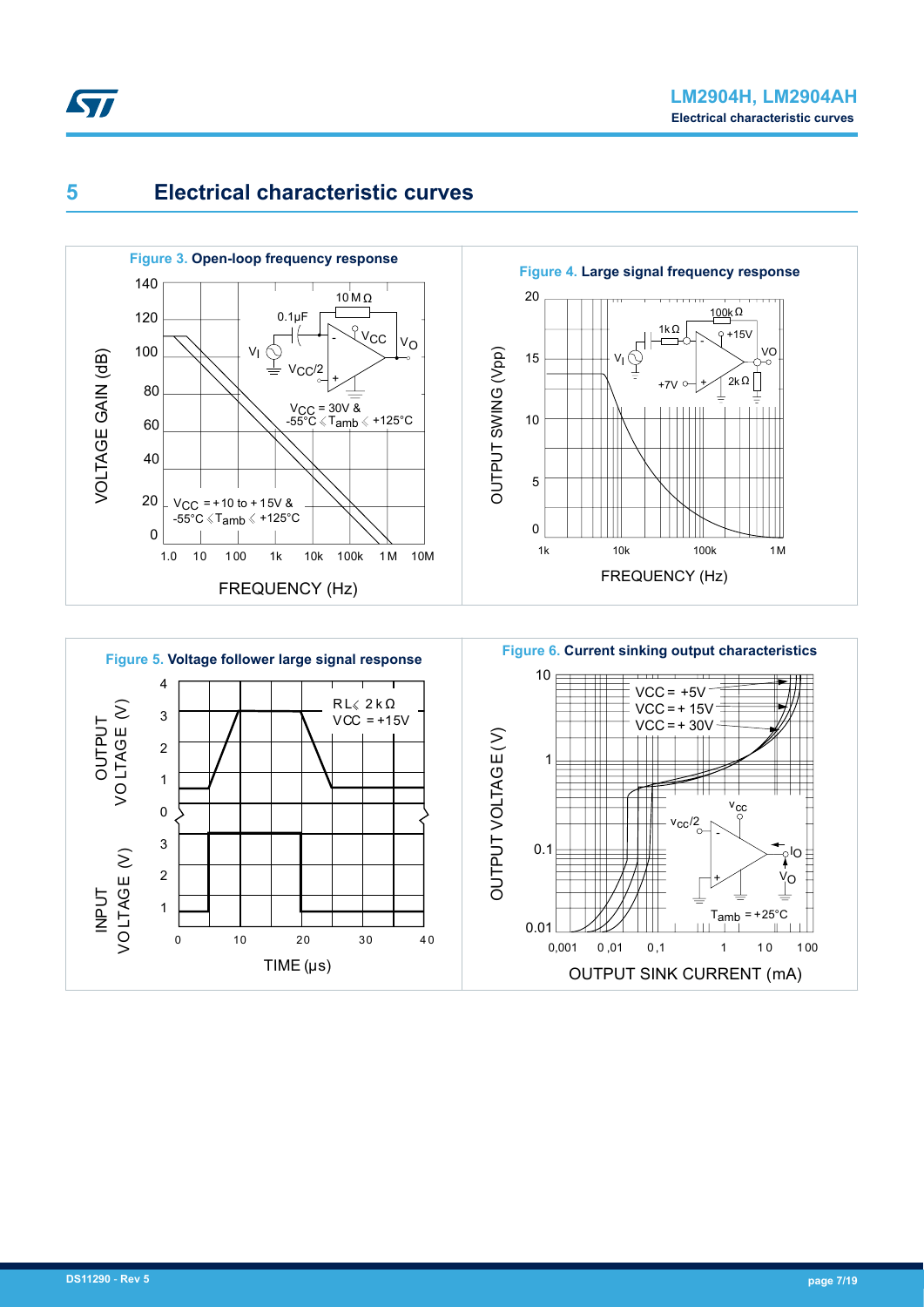<span id="page-6-0"></span>





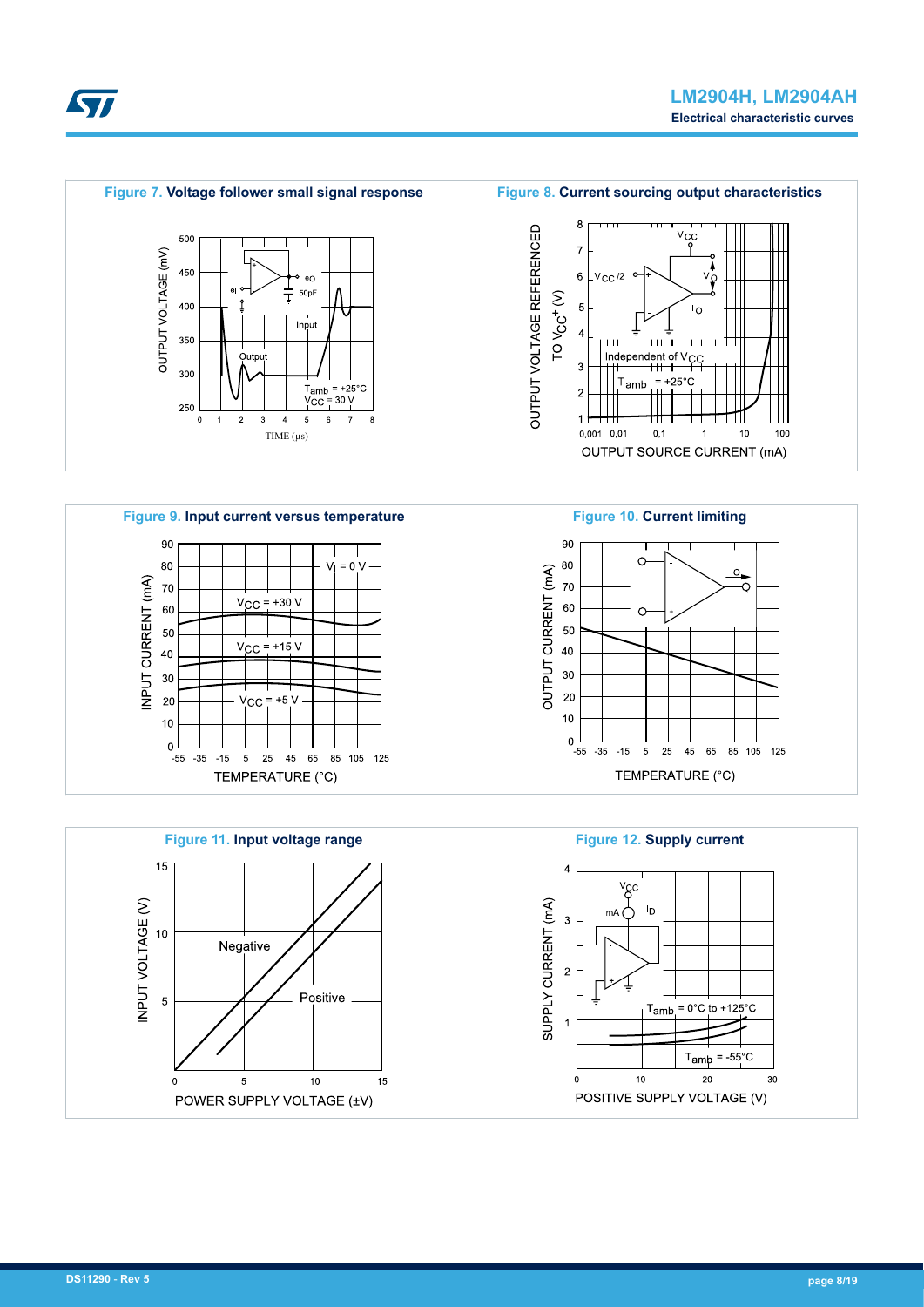<span id="page-7-0"></span>





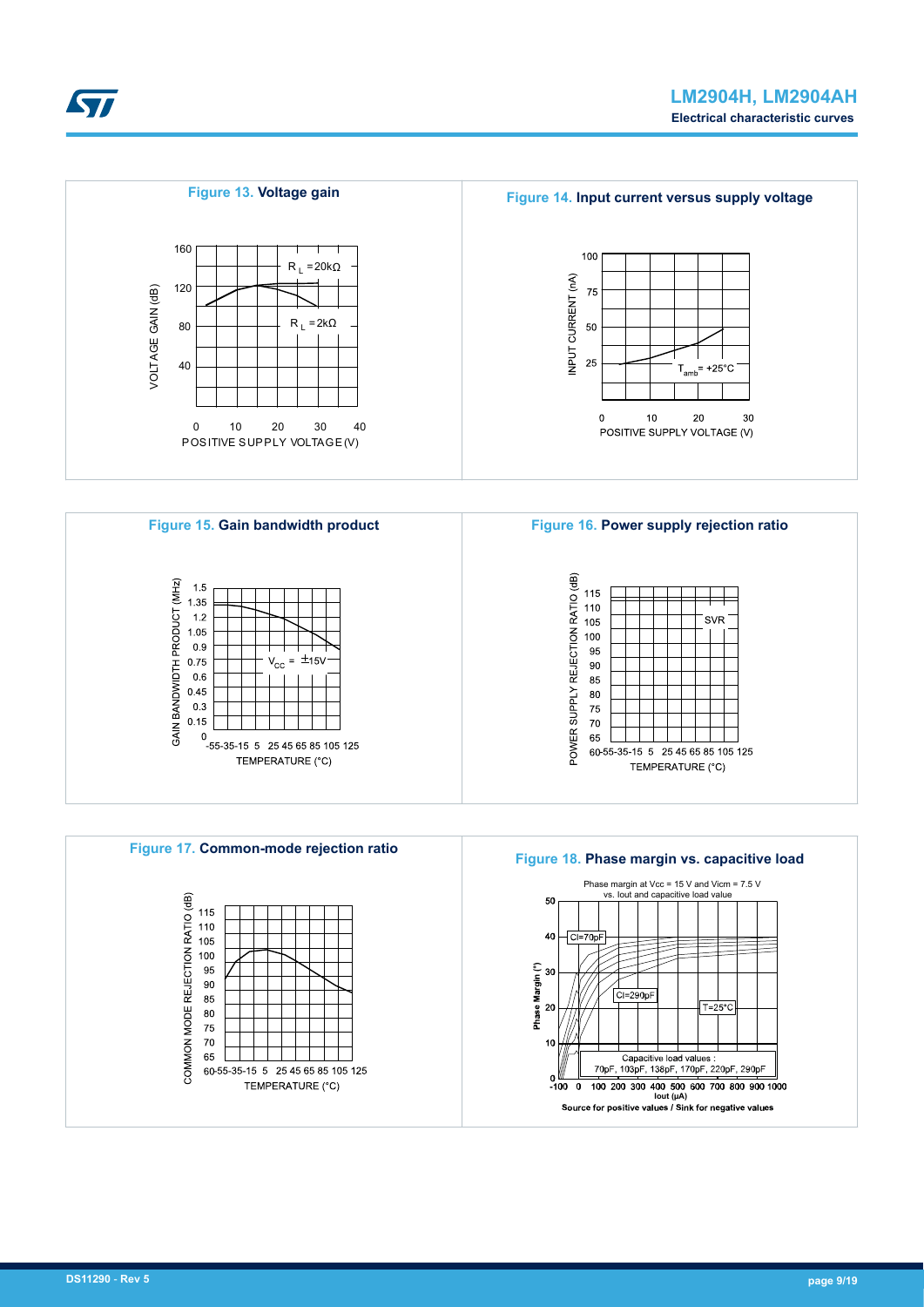<span id="page-8-0"></span>











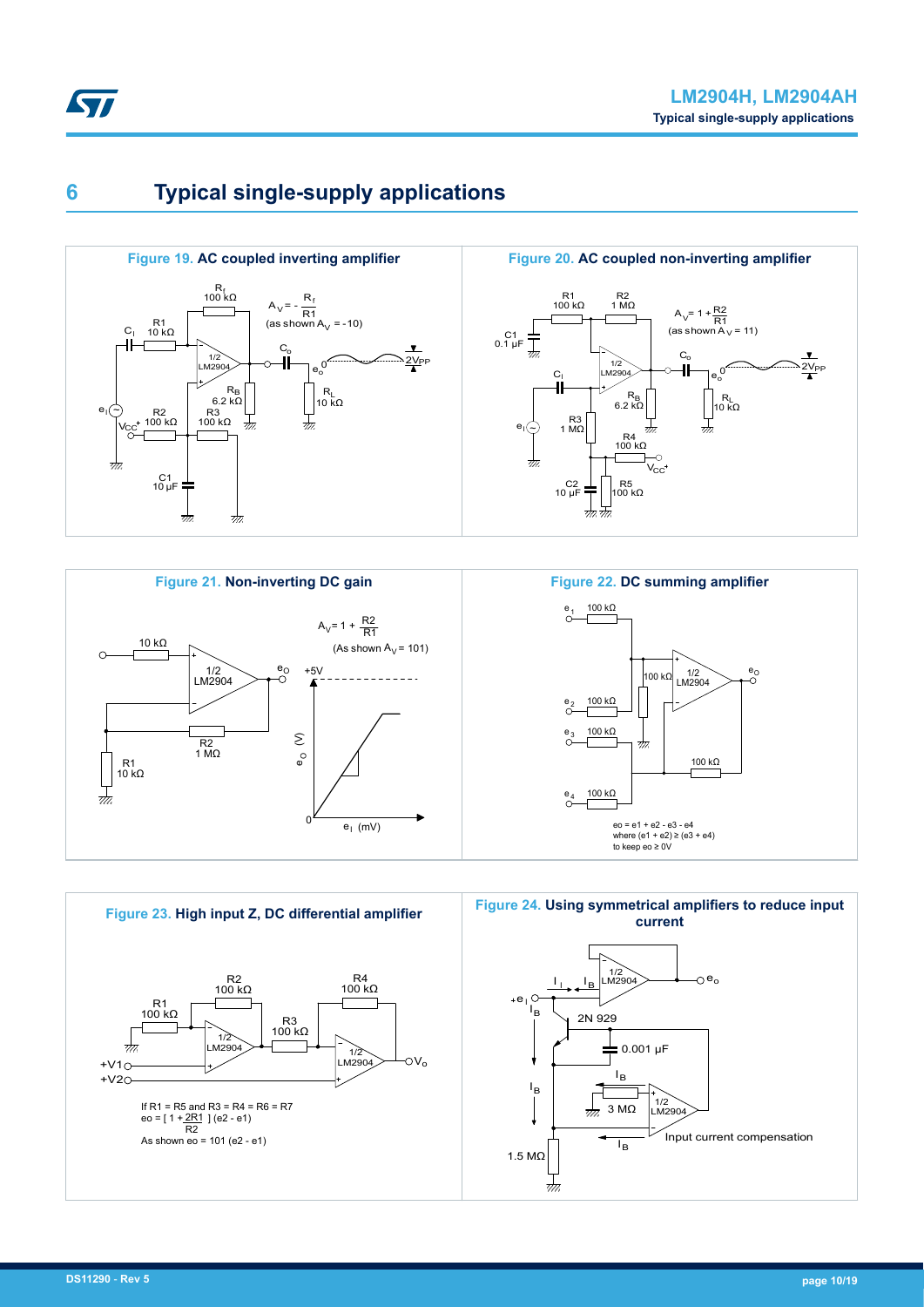<span id="page-9-0"></span>

## **6 Typical single-supply applications**







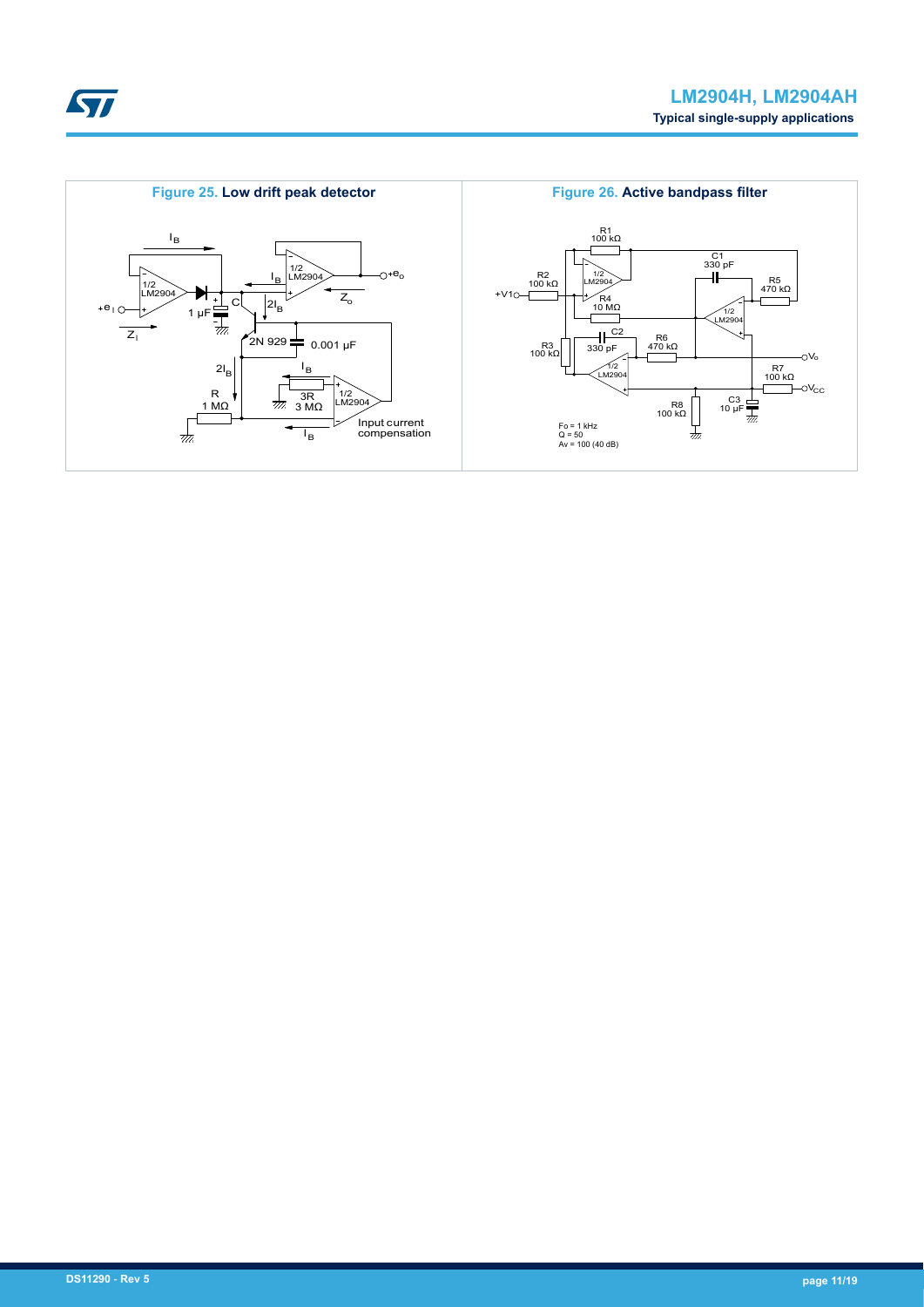<span id="page-10-0"></span>

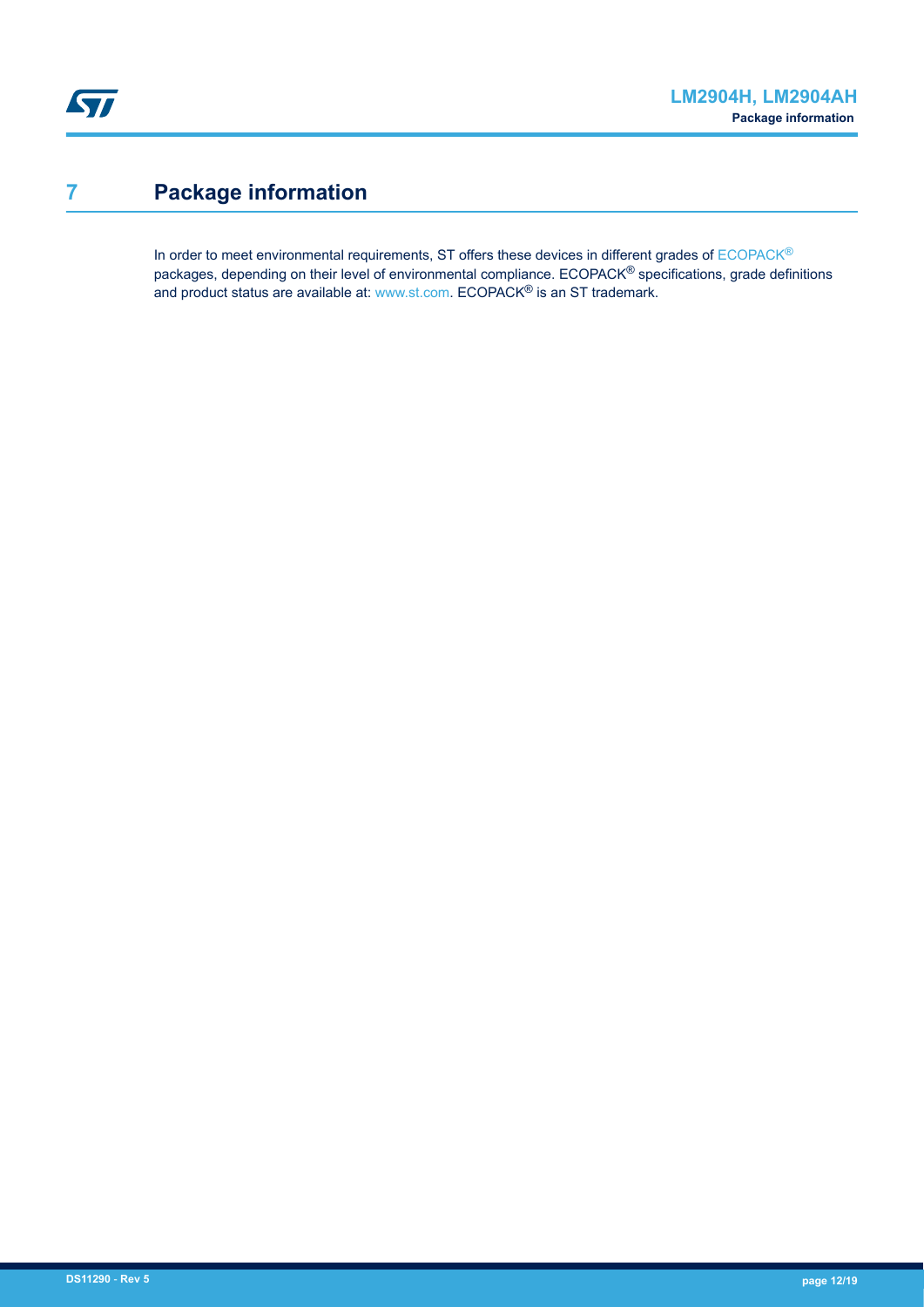## <span id="page-11-0"></span>**7 Package information**

In order to meet environmental requirements, ST offers these devices in different grades of [ECOPACK](https://www.st.com/ecopack)® packages, depending on their level of environmental compliance. ECOPACK® specifications, grade definitions and product status are available at: [www.st.com.](http://www.st.com) ECOPACK® is an ST trademark.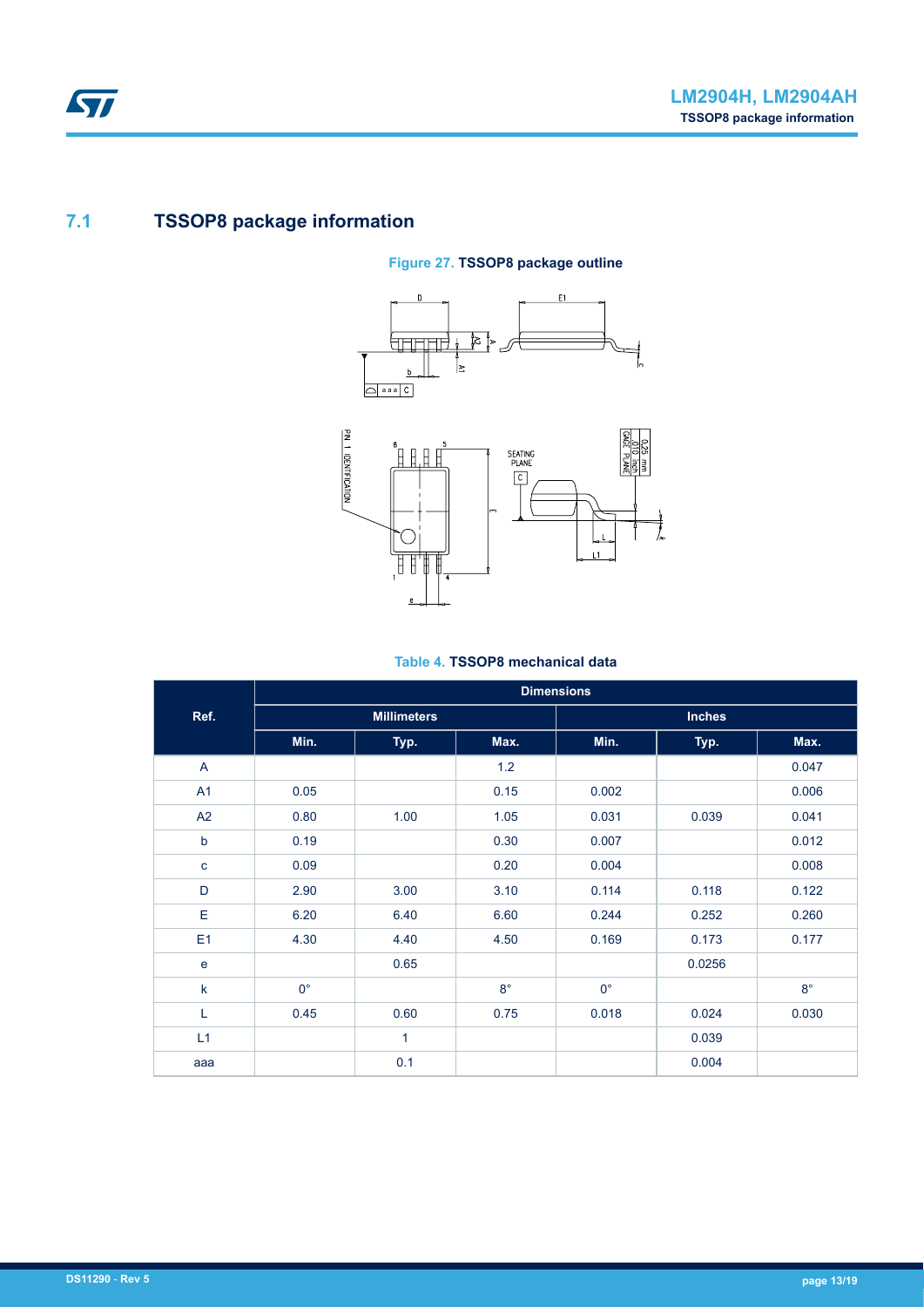### <span id="page-12-0"></span>**7.1 TSSOP8 package information**

#### **Figure 27. TSSOP8 package outline**





#### **Table 4. TSSOP8 mechanical data**

|                | <b>Dimensions</b>  |      |             |               |        |             |  |
|----------------|--------------------|------|-------------|---------------|--------|-------------|--|
| Ref.           | <b>Millimeters</b> |      |             | <b>Inches</b> |        |             |  |
|                | Min.               | Typ. | Max.        | Min.          | Typ.   | Max.        |  |
| A              |                    |      | 1.2         |               |        | 0.047       |  |
| A1             | 0.05               |      | 0.15        | 0.002         |        | 0.006       |  |
| A2             | 0.80               | 1.00 | 1.05        | 0.031         | 0.039  | 0.041       |  |
| b              | 0.19               |      | 0.30        | 0.007         |        | 0.012       |  |
| C              | 0.09               |      | 0.20        | 0.004         |        | 0.008       |  |
| D              | 2.90               | 3.00 | 3.10        | 0.114         | 0.118  | 0.122       |  |
| E              | 6.20               | 6.40 | 6.60        | 0.244         | 0.252  | 0.260       |  |
| E <sub>1</sub> | 4.30               | 4.40 | 4.50        | 0.169         | 0.173  | 0.177       |  |
| e              |                    | 0.65 |             |               | 0.0256 |             |  |
| k              | $0^{\circ}$        |      | $8^{\circ}$ | $0^{\circ}$   |        | $8^{\circ}$ |  |
| L              | 0.45               | 0.60 | 0.75        | 0.018         | 0.024  | 0.030       |  |
| L1             |                    | 1    |             |               | 0.039  |             |  |
| aaa            |                    | 0.1  |             |               | 0.004  |             |  |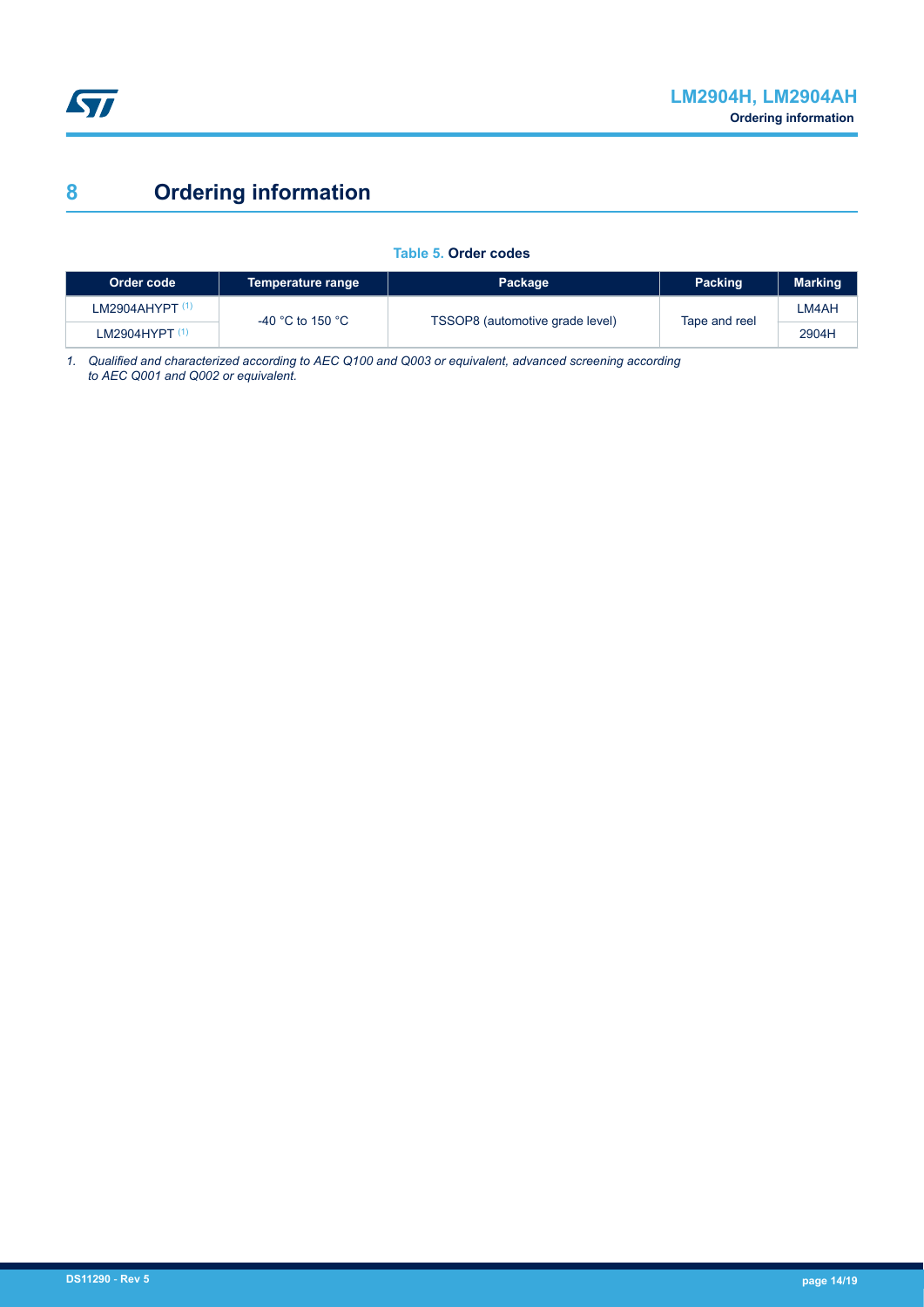<span id="page-13-0"></span>

# **8 Ordering information**

#### **Table 5. Order codes**

| Order code                 | Temperature range | Package                         | <b>Packing</b> | <b>Marking</b> |
|----------------------------|-------------------|---------------------------------|----------------|----------------|
| LM2904AHYPT <sup>(1)</sup> | -40 °C to 150 °C  | TSSOP8 (automotive grade level) |                | LM4AH          |
| LM2904HYPT $(1)$           |                   |                                 | Tape and reel  | 2904H          |

*1. Qualified and characterized according to AEC Q100 and Q003 or equivalent, advanced screening according to AEC Q001 and Q002 or equivalent.*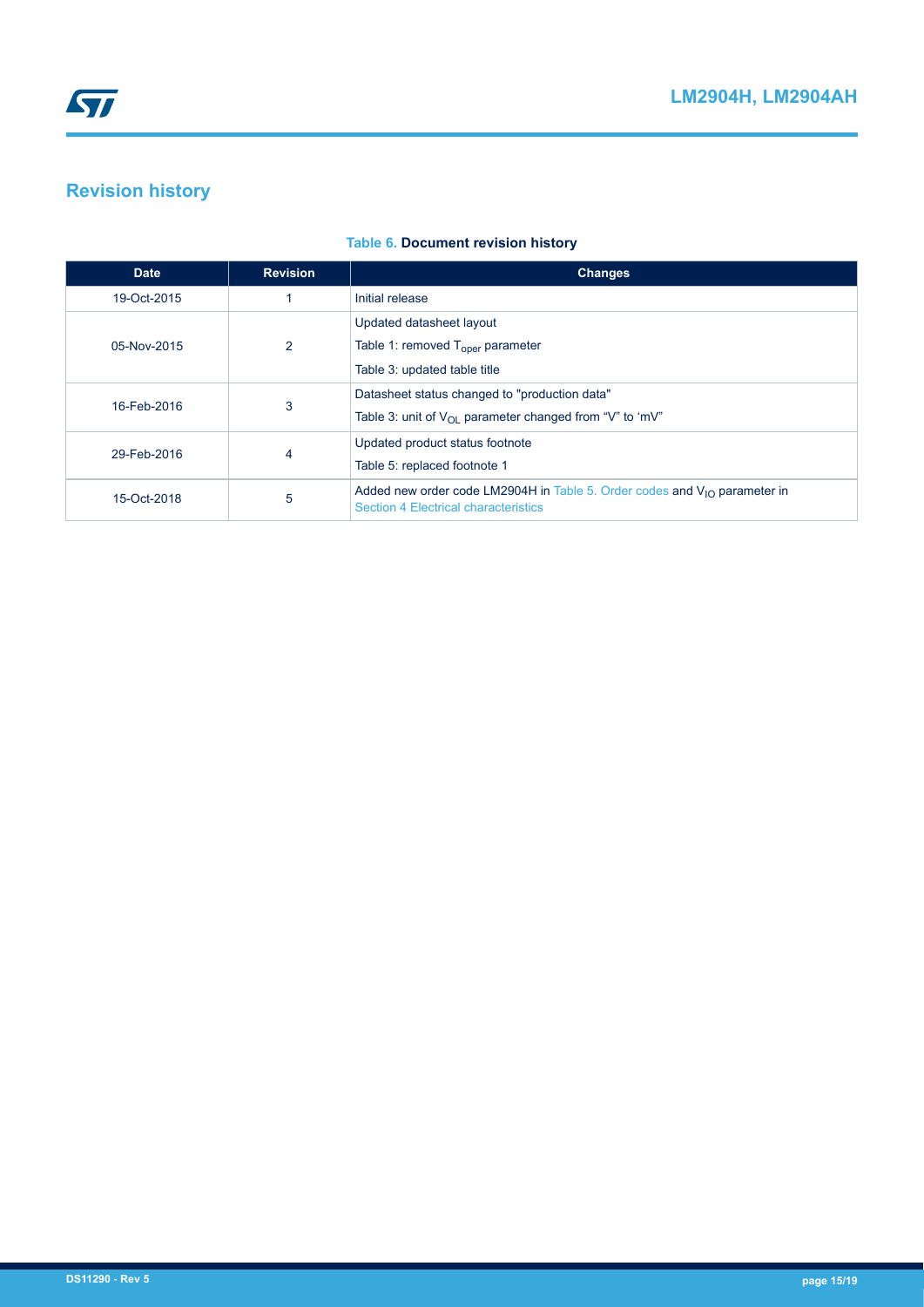## <span id="page-14-0"></span>**Revision history**

| <b>Date</b> | <b>Revision</b> | <b>Changes</b>                                                                                                                |
|-------------|-----------------|-------------------------------------------------------------------------------------------------------------------------------|
| 19-Oct-2015 |                 | Initial release                                                                                                               |
|             |                 | Updated datasheet layout                                                                                                      |
| 05-Nov-2015 | $\overline{2}$  | Table 1: removed $T_{\text{oper}}$ parameter                                                                                  |
|             |                 | Table 3: updated table title                                                                                                  |
| 16-Feb-2016 | 3               | Datasheet status changed to "production data"                                                                                 |
|             |                 | Table 3: unit of $V_{\Omega}$ parameter changed from "V" to 'mV"                                                              |
| 29-Feb-2016 | 4               | Updated product status footnote                                                                                               |
|             |                 | Table 5: replaced footnote 1                                                                                                  |
| 15-Oct-2018 | 5               | Added new order code LM2904H in Table 5. Order codes and $V_{1O}$ parameter in<br><b>Section 4 Electrical characteristics</b> |

#### **Table 6. Document revision history**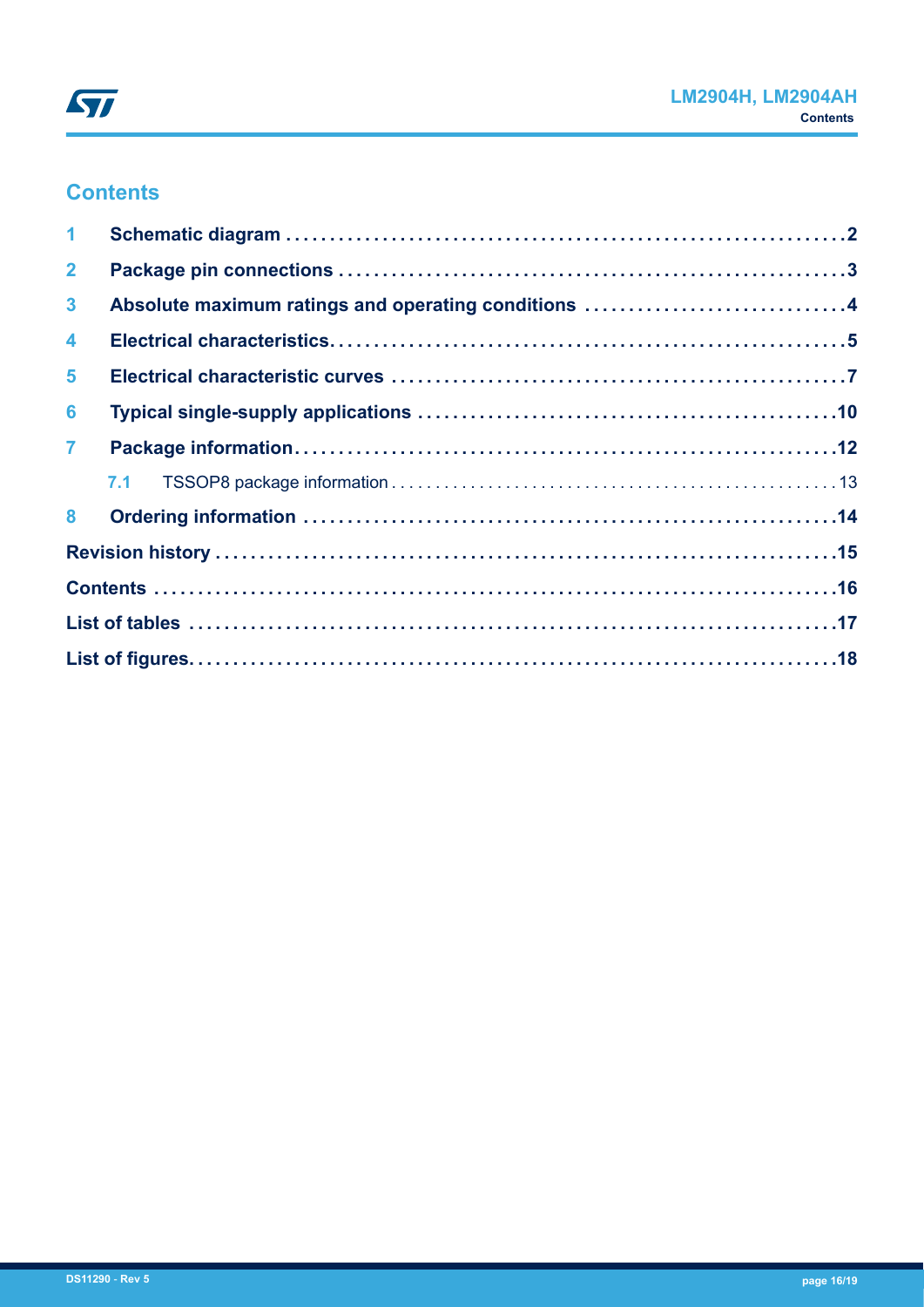## **Contents**

| $\mathbf 1$          |                                                     |  |
|----------------------|-----------------------------------------------------|--|
| $\overline{2}$       |                                                     |  |
| $\mathbf{3}$         | Absolute maximum ratings and operating conditions 4 |  |
| $\blacktriangleleft$ |                                                     |  |
| $5\phantom{.0}$      |                                                     |  |
| 6                    |                                                     |  |
| $\overline{7}$       |                                                     |  |
|                      |                                                     |  |
|                      |                                                     |  |
|                      |                                                     |  |
|                      |                                                     |  |
|                      |                                                     |  |
|                      |                                                     |  |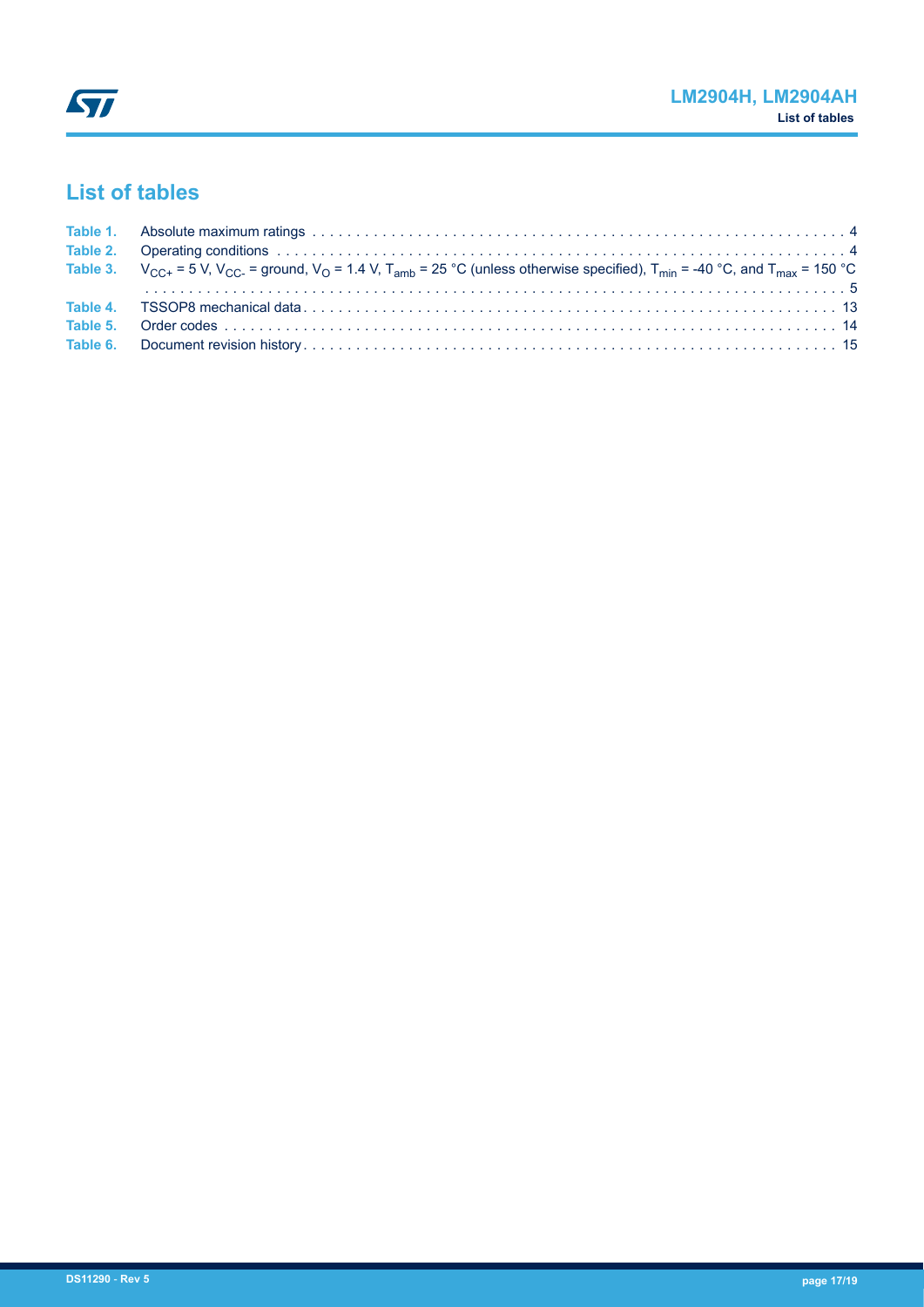## <span id="page-16-0"></span>**List of tables**

| Table 3. $V_{\text{CC+}} = 5$ V, V <sub>CC</sub> = ground, V <sub>O</sub> = 1.4 V, T <sub>amb</sub> = 25 °C (unless otherwise specified), T <sub>min</sub> = -40 °C, and T <sub>max</sub> = 150 °C |
|----------------------------------------------------------------------------------------------------------------------------------------------------------------------------------------------------|
|                                                                                                                                                                                                    |
|                                                                                                                                                                                                    |
|                                                                                                                                                                                                    |
|                                                                                                                                                                                                    |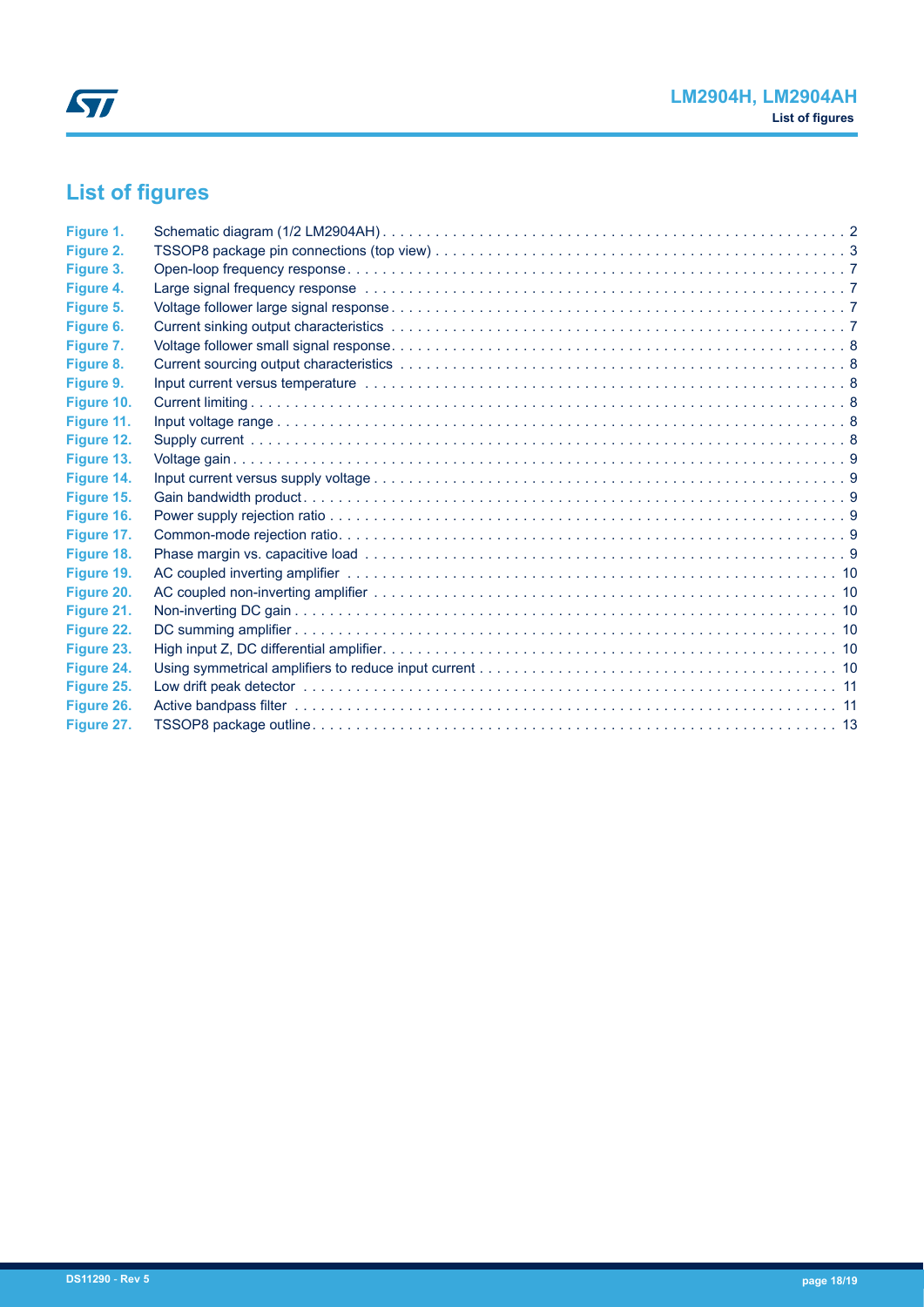# <span id="page-17-0"></span>**List of figures**

| Figure 1.  |                                                                                                                 |  |
|------------|-----------------------------------------------------------------------------------------------------------------|--|
| Figure 2.  |                                                                                                                 |  |
| Figure 3.  |                                                                                                                 |  |
| Figure 4.  | Large signal frequency response educational contracts of the contracts of the contracts of the contracts of the |  |
| Figure 5.  |                                                                                                                 |  |
| Figure 6.  |                                                                                                                 |  |
| Figure 7.  |                                                                                                                 |  |
| Figure 8.  |                                                                                                                 |  |
| Figure 9.  |                                                                                                                 |  |
| Figure 10. |                                                                                                                 |  |
| Figure 11. |                                                                                                                 |  |
| Figure 12. |                                                                                                                 |  |
| Figure 13. |                                                                                                                 |  |
| Figure 14. |                                                                                                                 |  |
| Figure 15. |                                                                                                                 |  |
| Figure 16. |                                                                                                                 |  |
| Figure 17. |                                                                                                                 |  |
| Figure 18. |                                                                                                                 |  |
| Figure 19. |                                                                                                                 |  |
| Figure 20. |                                                                                                                 |  |
| Figure 21. |                                                                                                                 |  |
| Figure 22. |                                                                                                                 |  |
| Figure 23. |                                                                                                                 |  |
| Figure 24. |                                                                                                                 |  |
| Figure 25. |                                                                                                                 |  |
| Figure 26. |                                                                                                                 |  |
| Figure 27. |                                                                                                                 |  |